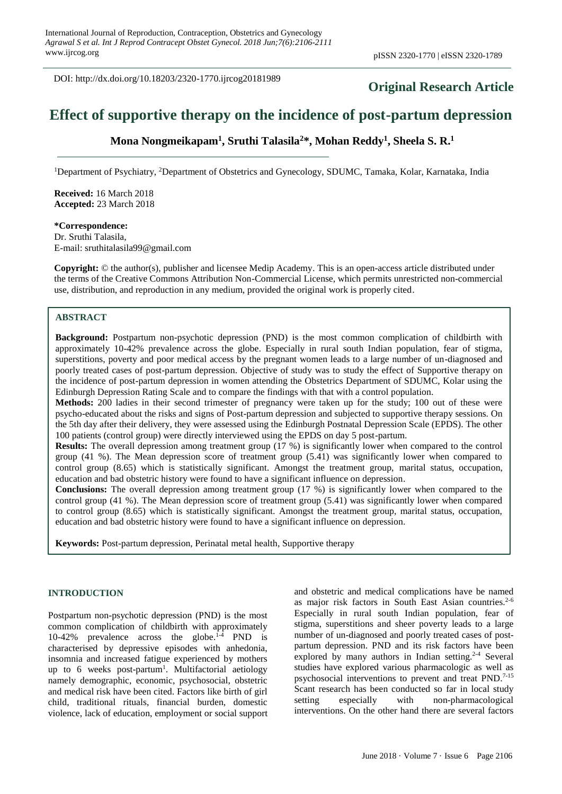DOI: http://dx.doi.org/10.18203/2320-1770.ijrcog20181989

# **Original Research Article**

# **Effect of supportive therapy on the incidence of post-partum depression**

**Mona Nongmeikapam<sup>1</sup> , Sruthi Talasila<sup>2</sup>\*, Mohan Reddy<sup>1</sup> , Sheela S. R.<sup>1</sup>**

<sup>1</sup>Department of Psychiatry, <sup>2</sup>Department of Obstetrics and Gynecology, SDUMC, Tamaka, Kolar, Karnataka, India

**Received:** 16 March 2018 **Accepted:** 23 March 2018

**\*Correspondence:** Dr. Sruthi Talasila, E-mail: sruthitalasila99@gmail.com

**Copyright:** © the author(s), publisher and licensee Medip Academy. This is an open-access article distributed under the terms of the Creative Commons Attribution Non-Commercial License, which permits unrestricted non-commercial use, distribution, and reproduction in any medium, provided the original work is properly cited.

# **ABSTRACT**

**Background:** Postpartum non-psychotic depression (PND) is the most common complication of childbirth with approximately 10-42% prevalence across the globe. Especially in rural south Indian population, fear of stigma, superstitions, poverty and poor medical access by the pregnant women leads to a large number of un-diagnosed and poorly treated cases of post-partum depression. Objective of study was to study the effect of Supportive therapy on the incidence of post-partum depression in women attending the Obstetrics Department of SDUMC, Kolar using the Edinburgh Depression Rating Scale and to compare the findings with that with a control population.

**Methods:** 200 ladies in their second trimester of pregnancy were taken up for the study; 100 out of these were psycho-educated about the risks and signs of Post-partum depression and subjected to supportive therapy sessions. On the 5th day after their delivery, they were assessed using the Edinburgh Postnatal Depression Scale (EPDS). The other 100 patients (control group) were directly interviewed using the EPDS on day 5 post-partum.

**Results:** The overall depression among treatment group (17 %) is significantly lower when compared to the control group (41 %). The Mean depression score of treatment group (5.41) was significantly lower when compared to control group (8.65) which is statistically significant. Amongst the treatment group, marital status, occupation, education and bad obstetric history were found to have a significant influence on depression.

**Conclusions:** The overall depression among treatment group (17 %) is significantly lower when compared to the control group (41 %). The Mean depression score of treatment group (5.41) was significantly lower when compared to control group (8.65) which is statistically significant. Amongst the treatment group, marital status, occupation, education and bad obstetric history were found to have a significant influence on depression.

**Keywords:** Post-partum depression, Perinatal metal health, Supportive therapy

### **INTRODUCTION**

Postpartum non-psychotic depression (PND) is the most common complication of childbirth with approximately 10-42% prevalence across the globe.1-4 PND is characterised by depressive episodes with anhedonia, insomnia and increased fatigue experienced by mothers up to 6 weeks post-partum<sup>1</sup>. Multifactorial aetiology namely demographic, economic, psychosocial, obstetric and medical risk have been cited. Factors like birth of girl child, traditional rituals, financial burden, domestic violence, lack of education, employment or social support and obstetric and medical complications have be named as major risk factors in South East Asian countries.<sup>2-6</sup> Especially in rural south Indian population, fear of stigma, superstitions and sheer poverty leads to a large number of un-diagnosed and poorly treated cases of postpartum depression. PND and its risk factors have been explored by many authors in Indian setting.<sup>2-4</sup> Several studies have explored various pharmacologic as well as psychosocial interventions to prevent and treat PND.7-15 Scant research has been conducted so far in local study setting especially with non-pharmacological interventions. On the other hand there are several factors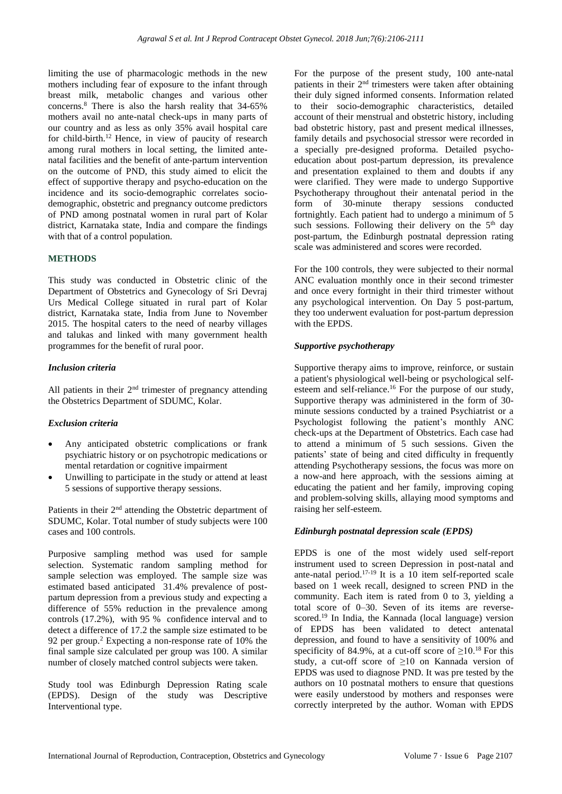limiting the use of pharmacologic methods in the new mothers including fear of exposure to the infant through breast milk, metabolic changes and various other concerns.<sup>8</sup> There is also the harsh reality that 34-65% mothers avail no ante-natal check-ups in many parts of our country and as less as only 35% avail hospital care for child-birth.<sup>12</sup> Hence, in view of paucity of research among rural mothers in local setting, the limited antenatal facilities and the benefit of ante-partum intervention on the outcome of PND, this study aimed to elicit the effect of supportive therapy and psycho-education on the incidence and its socio-demographic correlates sociodemographic, obstetric and pregnancy outcome predictors of PND among postnatal women in rural part of Kolar district, Karnataka state, India and compare the findings with that of a control population.

#### **METHODS**

This study was conducted in Obstetric clinic of the Department of Obstetrics and Gynecology of Sri Devraj Urs Medical College situated in rural part of Kolar district, Karnataka state, India from June to November 2015. The hospital caters to the need of nearby villages and talukas and linked with many government health programmes for the benefit of rural poor.

#### *Inclusion criteria*

All patients in their  $2<sup>nd</sup>$  trimester of pregnancy attending the Obstetrics Department of SDUMC, Kolar.

# *Exclusion criteria*

- Any anticipated obstetric complications or frank psychiatric history or on psychotropic medications or mental retardation or cognitive impairment
- Unwilling to participate in the study or attend at least 5 sessions of supportive therapy sessions.

Patients in their 2<sup>nd</sup> attending the Obstetric department of SDUMC, Kolar. Total number of study subjects were 100 cases and 100 controls.

Purposive sampling method was used for sample selection. Systematic random sampling method for sample selection was employed. The sample size was estimated based anticipated 31.4% prevalence of postpartum depression from a previous study and expecting a difference of 55% reduction in the prevalence among controls (17.2%), with 95 % confidence interval and to detect a difference of 17.2 the sample size estimated to be 92 per group.<sup>2</sup> Expecting a non-response rate of 10% the final sample size calculated per group was 100. A similar number of closely matched control subjects were taken.

Study tool was Edinburgh Depression Rating scale (EPDS). Design of the study was Descriptive Interventional type.

For the purpose of the present study, 100 ante-natal patients in their  $2<sup>nd</sup>$  trimesters were taken after obtaining their duly signed informed consents. Information related to their socio-demographic characteristics, detailed account of their menstrual and obstetric history, including bad obstetric history, past and present medical illnesses, family details and psychosocial stressor were recorded in a specially pre-designed proforma. Detailed psychoeducation about post-partum depression, its prevalence and presentation explained to them and doubts if any were clarified. They were made to undergo Supportive Psychotherapy throughout their antenatal period in the form of 30-minute therapy sessions conducted fortnightly. Each patient had to undergo a minimum of 5 such sessions. Following their delivery on the 5<sup>th</sup> day post-partum, the Edinburgh postnatal depression rating scale was administered and scores were recorded.

For the 100 controls, they were subjected to their normal ANC evaluation monthly once in their second trimester and once every fortnight in their third trimester without any psychological intervention. On Day 5 post-partum, they too underwent evaluation for post-partum depression with the EPDS.

#### *Supportive psychotherapy*

Supportive therapy aims to improve, reinforce, or sustain a patient's physiological well-being or psychological selfesteem and self-reliance.<sup>16</sup> For the purpose of our study, Supportive therapy was administered in the form of 30 minute sessions conducted by a trained Psychiatrist or a Psychologist following the patient's monthly ANC check-ups at the Department of Obstetrics. Each case had to attend a minimum of 5 such sessions. Given the patients' state of being and cited difficulty in frequently attending Psychotherapy sessions, the focus was more on a now-and here approach, with the sessions aiming at educating the patient and her family, improving coping and problem-solving skills, allaying mood symptoms and raising her self-esteem.

# *Edinburgh postnatal depression scale (EPDS)*

EPDS is one of the most widely used self-report instrument used to screen Depression in post-natal and ante-natal period.<sup>17-19</sup> It is a 10 item self-reported scale based on 1 week recall, designed to screen PND in the community. Each item is rated from 0 to 3, yielding a total score of 0–30. Seven of its items are reversescored.<sup>19</sup> In India, the Kannada (local language) version of EPDS has been validated to detect antenatal depression, and found to have a sensitivity of 100% and specificity of 84.9%, at a cut-off score of  $\geq 10$ .<sup>18</sup> For this study, a cut-off score of  $\geq 10$  on Kannada version of EPDS was used to diagnose PND. It was pre tested by the authors on 10 postnatal mothers to ensure that questions were easily understood by mothers and responses were correctly interpreted by the author. Woman with EPDS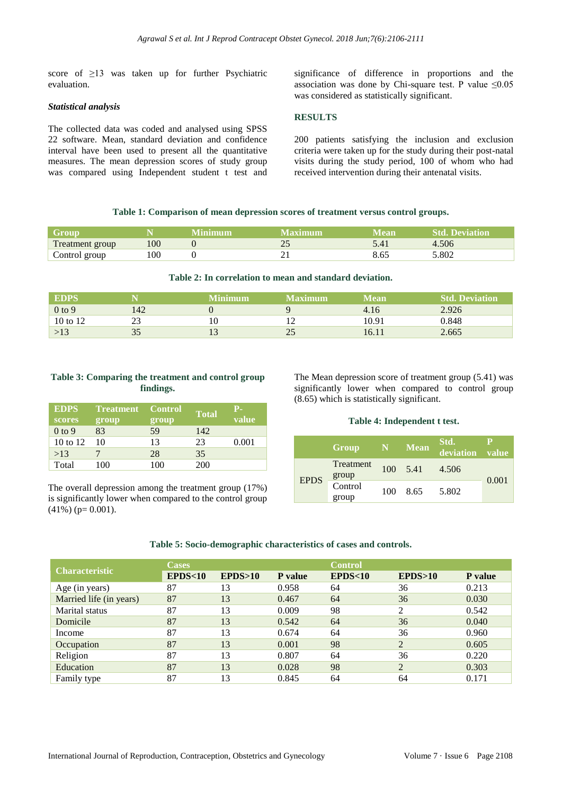score of ≥13 was taken up for further Psychiatric evaluation.

#### *Statistical analysis*

The collected data was coded and analysed using SPSS 22 software. Mean, standard deviation and confidence interval have been used to present all the quantitative measures. The mean depression scores of study group was compared using Independent student t test and significance of difference in proportions and the association was done by Chi-square test. P value  $\leq 0.05$ was considered as statistically significant.

# **RESULTS**

200 patients satisfying the inclusion and exclusion criteria were taken up for the study during their post-natal visits during the study period, 100 of whom who had received intervention during their antenatal visits.

# **Table 1: Comparison of mean depression scores of treatment versus control groups.**

| Group           |     | Minimum | Vlaximum                 | Mean | <b>Std. Deviation</b> |
|-----------------|-----|---------|--------------------------|------|-----------------------|
| Treatment group | 100 |         | $\overline{\phantom{a}}$ |      | 4.506                 |
| Control group   | 100 |         |                          | 63   | 5.802                 |

#### **Table 2: In correlation to mean and standard deviation.**

| <b>EDPS</b> |     | Minimum | <b>Maximum</b> | Mean  | <b>Std. Deviation</b> |
|-------------|-----|---------|----------------|-------|-----------------------|
| $0$ to $9$  | 142 |         |                | 4.16  | 2.926                 |
| 10 to 12    | 23  | 10      |                | 10.91 | 0.848                 |
| >13         | ັ   |         |                | 16.1  | 2.665                 |

#### **Table 3: Comparing the treatment and control group findings.**

| <b>EDPS</b><br>scores | <b>Treatment</b> Control<br>group | group | <b>Total</b> | <b>P.</b><br>value |
|-----------------------|-----------------------------------|-------|--------------|--------------------|
| $0$ to 9              | 83                                | 59    | 142          |                    |
| 10 to 12              | 10                                | 13    | 23           | 0.001              |
| >13                   |                                   | 28    | 35           |                    |
| Total                 | 100                               | 100   | 200          |                    |

The overall depression among the treatment group (17%) is significantly lower when compared to the control group  $(41\%)$  (p= 0.001).

The Mean depression score of treatment group (5.41) was significantly lower when compared to control group (8.65) which is statistically significant.

#### **Table 4: Independent t test.**

|             | Group                     |     | N Mean           | Std.<br>deviation value |       |
|-------------|---------------------------|-----|------------------|-------------------------|-------|
| <b>EPDS</b> | Treatment                 |     | $100 \quad 5.41$ | 4.506                   |       |
|             | group<br>Control<br>group | 100 | 8.65             | 5.802                   | 0.001 |

#### **Table 5: Socio-demographic characteristics of cases and controls.**

|                         | <b>Cases</b> |         |                | <b>Control</b> |                |                |  |
|-------------------------|--------------|---------|----------------|----------------|----------------|----------------|--|
| <b>Characteristic</b>   | EPDS<10      | EPDS>10 | <b>P</b> value | EPDS<10        | EPDS>10        | <b>P</b> value |  |
| Age (in years)          | 87           | 13      | 0.958          | 64             | 36             | 0.213          |  |
| Married life (in years) | 87           | 13      | 0.467          | 64             | 36             | 0.030          |  |
| Marital status          | 87           | 13      | 0.009          | 98             | 2              | 0.542          |  |
| Domicile                | 87           | 13      | 0.542          | 64             | 36             | 0.040          |  |
| Income                  | 87           | 13      | 0.674          | 64             | 36             | 0.960          |  |
| Occupation              | 87           | 13      | 0.001          | 98             | $\overline{2}$ | 0.605          |  |
| Religion                | 87           | 13      | 0.807          | 64             | 36             | 0.220          |  |
| Education               | 87           | 13      | 0.028          | 98             | $\overline{2}$ | 0.303          |  |
| Family type             | 87           | 13      | 0.845          | 64             | 64             | 0.171          |  |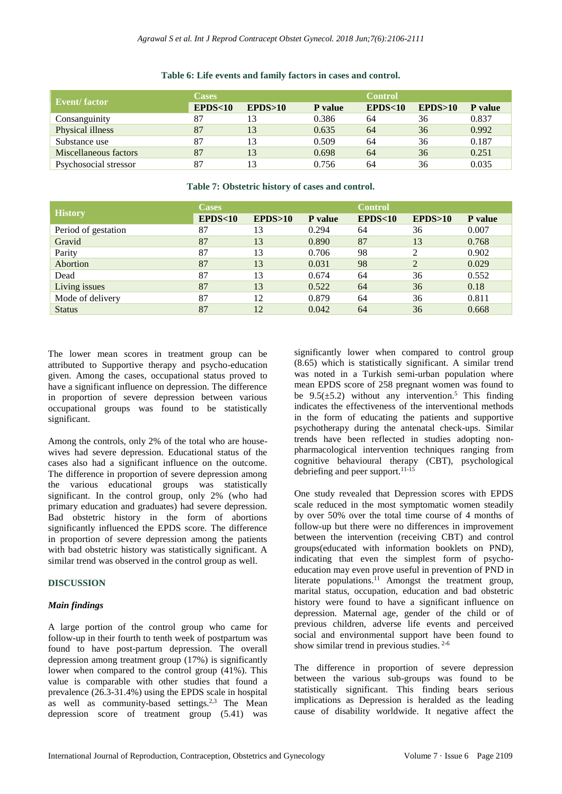| Event/factor          | <b>Cases</b> |         | <b>Control</b> |         |         |                |
|-----------------------|--------------|---------|----------------|---------|---------|----------------|
|                       | EPDS<10      | EPDS>10 | P value        | EPDS<10 | EPDS>10 | <b>P</b> value |
| Consanguinity         |              | 13      | 0.386          | 64      | 36      | 0.837          |
| Physical illness      | 87           | 13      | 0.635          | 64      | 36      | 0.992          |
| Substance use         | 87           | 13      | 0.509          | 64      | 36      | 0.187          |
| Miscellaneous factors | 87           | 13      | 0.698          | 64      | 36      | 0.251          |
| Psychosocial stressor | 87           | 13      | 0.756          | 64      | 36      | 0.035          |

#### **Table 6: Life events and family factors in cases and control.**

#### **Table 7: Obstetric history of cases and control.**

|                     | <b>Cases</b>      |         |                | <b>Control</b> |               |                |
|---------------------|-------------------|---------|----------------|----------------|---------------|----------------|
| <b>History</b>      | <b>EPDS&lt;10</b> | EPDS>10 | <b>P</b> value | EPDS<10        | EPDS>10       | <b>P</b> value |
| Period of gestation | 87                | 13      | 0.294          | 64             | 36            | 0.007          |
| Gravid              | 87                | 13      | 0.890          | 87             | 13            | 0.768          |
| Parity              | 87                | 13      | 0.706          | 98             | $\mathcal{D}$ | 0.902          |
| Abortion            | 87                | 13      | 0.031          | 98             | 2             | 0.029          |
| Dead                | 87                | 13      | 0.674          | 64             | 36            | 0.552          |
| Living issues       | 87                | 13      | 0.522          | 64             | 36            | 0.18           |
| Mode of delivery    | 87                | 12      | 0.879          | 64             | 36            | 0.811          |
| <b>Status</b>       | 87                | 12      | 0.042          | 64             | 36            | 0.668          |

The lower mean scores in treatment group can be attributed to Supportive therapy and psycho-education given. Among the cases, occupational status proved to have a significant influence on depression. The difference in proportion of severe depression between various occupational groups was found to be statistically significant.

Among the controls, only 2% of the total who are housewives had severe depression. Educational status of the cases also had a significant influence on the outcome. The difference in proportion of severe depression among the various educational groups was statistically significant. In the control group, only 2% (who had primary education and graduates) had severe depression. Bad obstetric history in the form of abortions significantly influenced the EPDS score. The difference in proportion of severe depression among the patients with bad obstetric history was statistically significant. A similar trend was observed in the control group as well.

# **DISCUSSION**

#### *Main findings*

A large portion of the control group who came for follow-up in their fourth to tenth week of postpartum was found to have post-partum depression. The overall depression among treatment group (17%) is significantly lower when compared to the control group (41%). This value is comparable with other studies that found a prevalence (26.3-31.4%) using the EPDS scale in hospital as well as community-based settings.<sup>2,3</sup> The Mean depression score of treatment group (5.41) was significantly lower when compared to control group (8.65) which is statistically significant. A similar trend was noted in a Turkish semi-urban population where mean EPDS score of 258 pregnant women was found to be  $9.5(\pm 5.2)$  without any intervention.<sup>5</sup> This finding indicates the effectiveness of the interventional methods in the form of educating the patients and supportive psychotherapy during the antenatal check-ups. Similar trends have been reflected in studies adopting nonpharmacological intervention techniques ranging from cognitive behavioural therapy (CBT), psychological debriefing and peer support.<sup>11-15</sup>

One study revealed that Depression scores with EPDS scale reduced in the most symptomatic women steadily by over 50% over the total time course of 4 months of follow-up but there were no differences in improvement between the intervention (receiving CBT) and control groups(educated with information booklets on PND), indicating that even the simplest form of psychoeducation may even prove useful in prevention of PND in literate populations.<sup>11</sup> Amongst the treatment group, marital status, occupation, education and bad obstetric history were found to have a significant influence on depression. Maternal age, gender of the child or of previous children, adverse life events and perceived social and environmental support have been found to show similar trend in previous studies. 2-6

The difference in proportion of severe depression between the various sub-groups was found to be statistically significant. This finding bears serious implications as Depression is heralded as the leading cause of disability worldwide. It negative affect the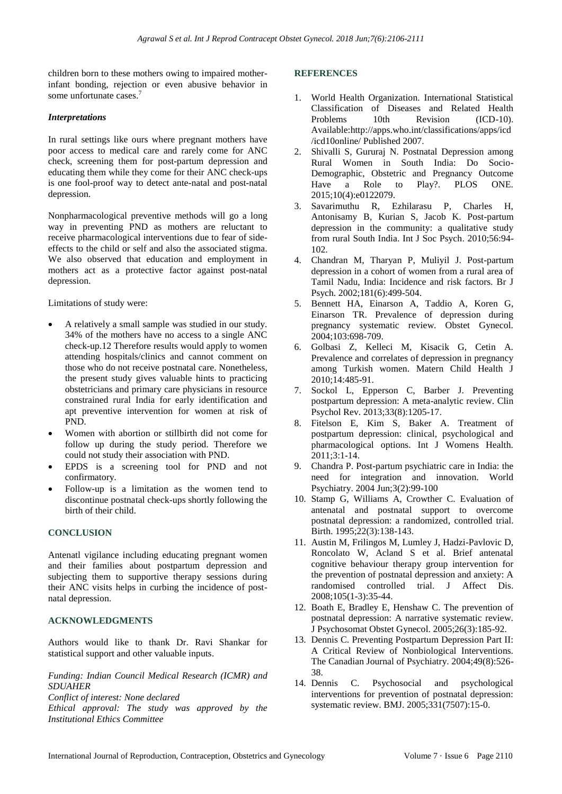children born to these mothers owing to impaired motherinfant bonding, rejection or even abusive behavior in some unfortunate cases.<sup>7</sup>

#### *Interpretations*

In rural settings like ours where pregnant mothers have poor access to medical care and rarely come for ANC check, screening them for post-partum depression and educating them while they come for their ANC check-ups is one fool-proof way to detect ante-natal and post-natal depression.

Nonpharmacological preventive methods will go a long way in preventing PND as mothers are reluctant to receive pharmacological interventions due to fear of sideeffects to the child or self and also the associated stigma. We also observed that education and employment in mothers act as a protective factor against post-natal depression.

Limitations of study were:

- A relatively a small sample was studied in our study. 34% of the mothers have no access to a single ANC check-up.12 Therefore results would apply to women attending hospitals/clinics and cannot comment on those who do not receive postnatal care. Nonetheless, the present study gives valuable hints to practicing obstetricians and primary care physicians in resource constrained rural India for early identification and apt preventive intervention for women at risk of PND.
- Women with abortion or stillbirth did not come for follow up during the study period. Therefore we could not study their association with PND.
- EPDS is a screening tool for PND and not confirmatory.
- Follow-up is a limitation as the women tend to discontinue postnatal check-ups shortly following the birth of their child.

# **CONCLUSION**

Antenatl vigilance including educating pregnant women and their families about postpartum depression and subjecting them to supportive therapy sessions during their ANC visits helps in curbing the incidence of postnatal depression.

#### **ACKNOWLEDGMENTS**

Authors would like to thank Dr. Ravi Shankar for statistical support and other valuable inputs.

*Funding: Indian Council Medical Research (ICMR) and SDUAHER*

*Conflict of interest: None declared*

*Ethical approval: The study was approved by the Institutional Ethics Committee*

#### **REFERENCES**

- 1. World Health Organization. International Statistical Classification of Diseases and Related Health Problems 10th Revision (ICD-10). Available:http://apps.who.int/classifications/apps/icd /icd10online/ Published 2007.
- 2. Shivalli S, Gururaj N. Postnatal Depression among Rural Women in South India: Do Socio-Demographic, Obstetric and Pregnancy Outcome Have a Role to Play?. PLOS ONE. 2015;10(4):e0122079.
- 3. Savarimuthu R, Ezhilarasu P, Charles H, Antonisamy B, Kurian S, Jacob K. Post-partum depression in the community: a qualitative study from rural South India. Int J Soc Psych. 2010;56:94- 102.
- 4. Chandran M, Tharyan P, Muliyil J. Post-partum depression in a cohort of women from a rural area of Tamil Nadu, India: Incidence and risk factors. Br J Psych. 2002;181(6):499-504.
- 5. Bennett HA, Einarson A, Taddio A, Koren G, Einarson TR. Prevalence of depression during pregnancy systematic review. Obstet Gynecol. 2004;103:698-709.
- 6. Golbasi Z, Kelleci M, Kisacik G, Cetin A. Prevalence and correlates of depression in pregnancy among Turkish women. Matern Child Health J 2010;14:485-91.
- 7. Sockol L, Epperson C, Barber J. Preventing postpartum depression: A meta-analytic review. Clin Psychol Rev. 2013;33(8):1205-17.
- 8. Fitelson E, Kim S, Baker A. Treatment of postpartum depression: clinical, psychological and pharmacological options. Int J Womens Health. 2011;3:1-14.
- 9. Chandra P. Post-partum psychiatric care in India: the need for integration and innovation. World Psychiatry. 2004 Jun;3(2):99-100
- 10. Stamp G, Williams A, Crowther C. Evaluation of antenatal and postnatal support to overcome postnatal depression: a randomized, controlled trial. Birth. 1995;22(3):138-143.
- 11. Austin M, Frilingos M, Lumley J, Hadzi-Pavlovic D, Roncolato W, Acland S et al. Brief antenatal cognitive behaviour therapy group intervention for the prevention of postnatal depression and anxiety: A randomised controlled trial. J Affect Dis. 2008;105(1-3):35-44.
- 12. Boath E, Bradley E, Henshaw C. The prevention of postnatal depression: A narrative systematic review. J Psychosomat Obstet Gynecol. 2005;26(3):185-92.
- 13. Dennis C. Preventing Postpartum Depression Part II: A Critical Review of Nonbiological Interventions. The Canadian Journal of Psychiatry. 2004;49(8):526- 38.
- 14. Dennis C. Psychosocial and psychological interventions for prevention of postnatal depression: systematic review. BMJ. 2005;331(7507):15-0.